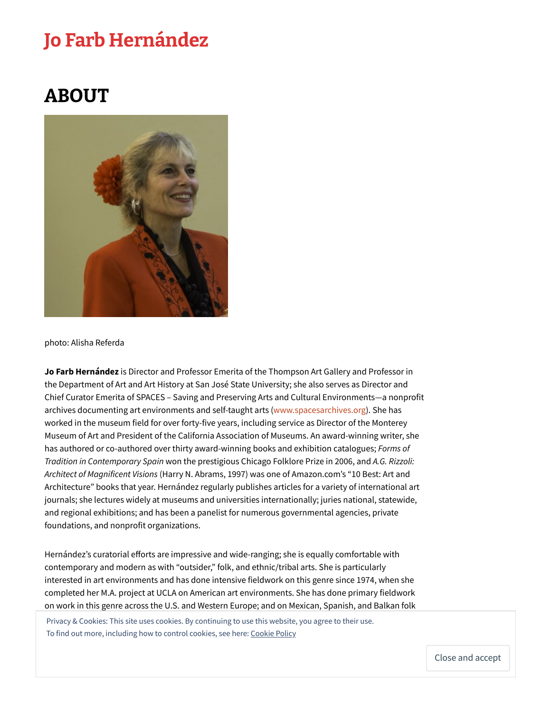## Jo Farb [Hernández](https://jofarbhernandez.com/)

## ABOUT



## photo: Alisha Referda

**Jo Farb Hernández** is Director and Professor Emerita of the Thompson Art Gallery and Professor in the Department of Art and Art History at San José State University; she also serves as Director and Chief Curator Emerita of SPACES – Saving and Preserving Arts and Cultural Environments—a nonprofit archives documenting art environments and self-taught arts ([www.spacesarchives.org](http://www.spacesarchives.org/)). She has worked in the museum field for over forty-five years, including service as Director of the Monterey Museum of Art and President of the California Association of Museums. An award-winning writer, she has authored or co-authored over thirty award-winning books and exhibition catalogues; *Forms of Tradition in Contemporary Spain* won the prestigious Chicago Folklore Prize in 2006, and *A.G. Rizzoli: Architect of Magnificent Visions* (Harry N. Abrams, 1997) was one of Amazon.com's "10 Best: Art and Architecture" books that year. Hernández regularly publishes articles for a variety of international art journals; she lectures widely at museums and universities internationally; juries national, statewide, and regional exhibitions; and has been a panelist for numerous governmental agencies, private foundations, and nonprofit organizations.

Hernández's curatorial efforts are impressive and wide-ranging; she is equally comfortable with contemporary and modern as with "outsider," folk, and ethnic/tribal arts. She is particularly interested in art environments and has done intensive fieldwork on this genre since 1974, when she completed her M.A. project at UCLA on American art environments. She has done primary fieldwork on work in this genre across the U.S. and Western Europe; and on Mexican, Spanish, and Balkan folk

Privacy & Cookies: This site uses cookies. By continuing to use this website, you agree to their use. To find out more, including how to control cookies, see here: [Cookie](https://automattic.com/cookies/) Policy

Close and accept